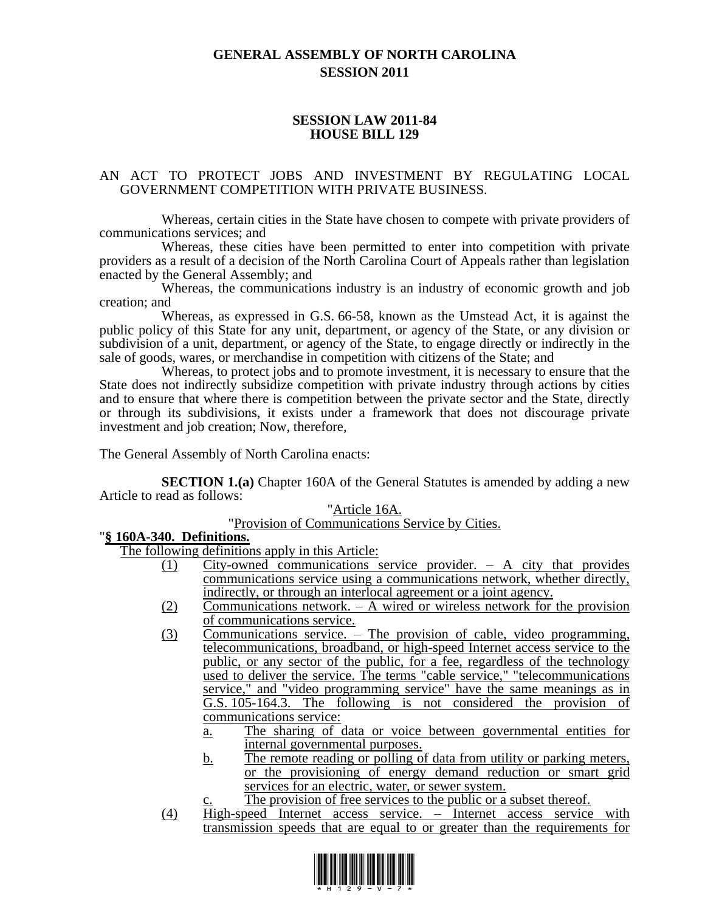# **GENERAL ASSEMBLY OF NORTH CAROLINA SESSION 2011**

### **SESSION LAW 2011-84 HOUSE BILL 129**

### AN ACT TO PROTECT JOBS AND INVESTMENT BY REGULATING LOCAL GOVERNMENT COMPETITION WITH PRIVATE BUSINESS.

Whereas, certain cities in the State have chosen to compete with private providers of communications services; and

Whereas, these cities have been permitted to enter into competition with private providers as a result of a decision of the North Carolina Court of Appeals rather than legislation enacted by the General Assembly; and

Whereas, the communications industry is an industry of economic growth and job creation; and

Whereas, as expressed in G.S. 66-58, known as the Umstead Act, it is against the public policy of this State for any unit, department, or agency of the State, or any division or subdivision of a unit, department, or agency of the State, to engage directly or indirectly in the sale of goods, wares, or merchandise in competition with citizens of the State; and

Whereas, to protect jobs and to promote investment, it is necessary to ensure that the State does not indirectly subsidize competition with private industry through actions by cities and to ensure that where there is competition between the private sector and the State, directly or through its subdivisions, it exists under a framework that does not discourage private investment and job creation; Now, therefore,

The General Assembly of North Carolina enacts:

**SECTION 1.(a)** Chapter 160A of the General Statutes is amended by adding a new Article to read as follows:

#### "Article 16A.

"Provision of Communications Service by Cities.

## "**§ 160A-340. Definitions.**

The following definitions apply in this Article:

- (1) City-owned communications service provider. A city that provides communications service using a communications network, whether directly, indirectly, or through an interlocal agreement or a joint agency.
- (2) Communications network.  $A$  wired or wireless network for the provision of communications service.
- (3) Communications service. The provision of cable, video programming, telecommunications, broadband, or high-speed Internet access service to the public, or any sector of the public, for a fee, regardless of the technology used to deliver the service. The terms "cable service," "telecommunications" service," and "video programming service" have the same meanings as in G.S. 105-164.3. The following is not considered the provision of communications service:
	- a. The sharing of data or voice between governmental entities for internal governmental purposes.
	- b. The remote reading or polling of data from utility or parking meters, or the provisioning of energy demand reduction or smart grid services for an electric, water, or sewer system.
		- The provision of free services to the public or a subset thereof.
- (4) High-speed Internet access service. Internet access service with transmission speeds that are equal to or greater than the requirements for

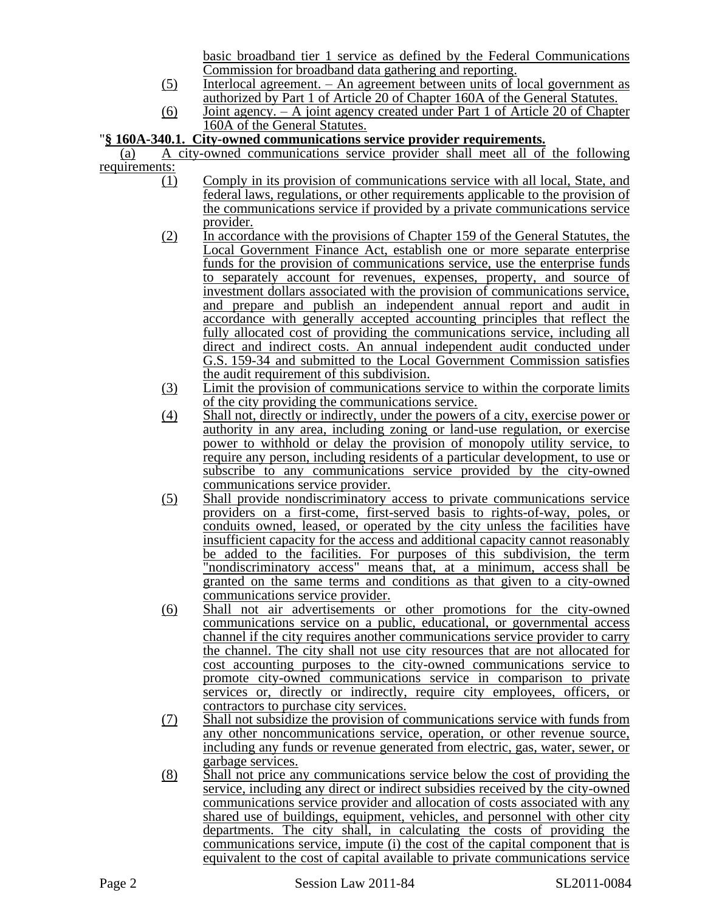basic broadband tier 1 service as defined by the Federal Communications Commission for broadband data gathering and reporting.

- (5) Interlocal agreement. An agreement between units of local government as authorized by Part 1 of Article 20 of Chapter 160A of the General Statutes.
- (6) Joint agency. A joint agency created under Part 1 of Article 20 of Chapter 160A of the General Statutes.

# "**§ 160A-340.1. City-owned communications service provider requirements.**

(a) A city-owned communications service provider shall meet all of the following requirements:  $(1)$ 

- Comply in its provision of communications service with all local, State, and federal laws, regulations, or other requirements applicable to the provision of the communications service if provided by a private communications service provider.
- (2) In accordance with the provisions of Chapter 159 of the General Statutes, the Local Government Finance Act, establish one or more separate enterprise funds for the provision of communications service, use the enterprise funds to separately account for revenues, expenses, property, and source of investment dollars associated with the provision of communications service, and prepare and publish an independent annual report and audit in accordance with generally accepted accounting principles that reflect the fully allocated cost of providing the communications service, including all direct and indirect costs. An annual independent audit conducted under G.S. 159-34 and submitted to the Local Government Commission satisfies the audit requirement of this subdivision.
- (3) Limit the provision of communications service to within the corporate limits of the city providing the communications service.
- (4) Shall not, directly or indirectly, under the powers of a city, exercise power or authority in any area, including zoning or land-use regulation, or exercise power to withhold or delay the provision of monopoly utility service, to require any person, including residents of a particular development, to use or subscribe to any communications service provided by the city-owned communications service provider.
- (5) Shall provide nondiscriminatory access to private communications service providers on a first-come, first-served basis to rights-of-way, poles, or conduits owned, leased, or operated by the city unless the facilities have insufficient capacity for the access and additional capacity cannot reasonably be added to the facilities. For purposes of this subdivision, the term "nondiscriminatory access" means that, at a minimum, access shall be granted on the same terms and conditions as that given to a city-owned communications service provider.
- (6) Shall not air advertisements or other promotions for the city-owned communications service on a public, educational, or governmental access channel if the city requires another communications service provider to carry the channel. The city shall not use city resources that are not allocated for cost accounting purposes to the city-owned communications service to promote city-owned communications service in comparison to private services or, directly or indirectly, require city employees, officers, or contractors to purchase city services.
- (7) Shall not subsidize the provision of communications service with funds from any other noncommunications service, operation, or other revenue source, including any funds or revenue generated from electric, gas, water, sewer, or garbage services.
- (8) Shall not price any communications service below the cost of providing the service, including any direct or indirect subsidies received by the city-owned communications service provider and allocation of costs associated with any shared use of buildings, equipment, vehicles, and personnel with other city departments. The city shall, in calculating the costs of providing the communications service, impute (i) the cost of the capital component that is equivalent to the cost of capital available to private communications service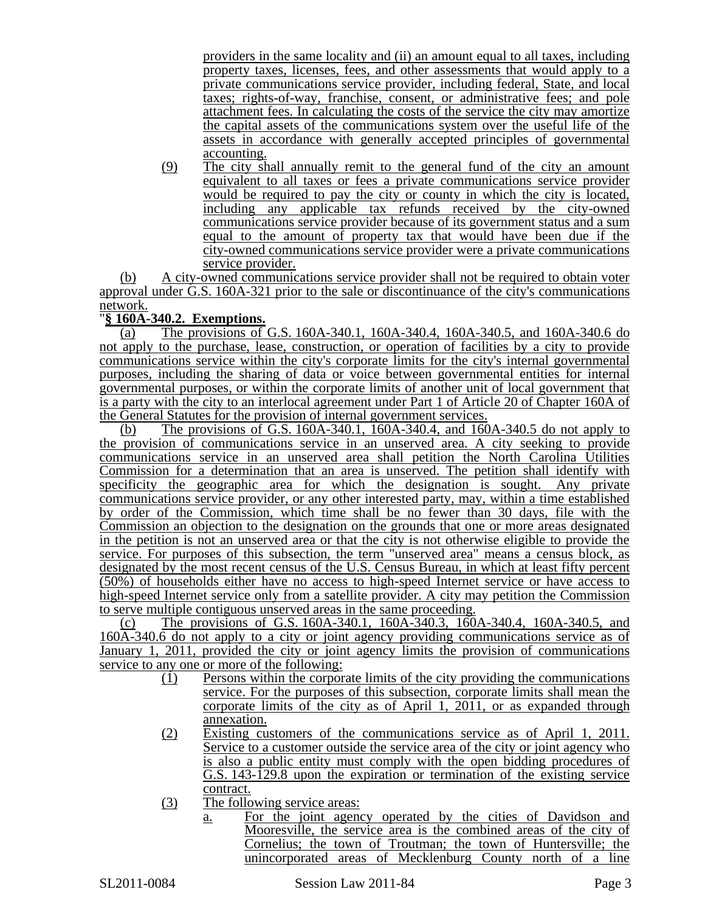providers in the same locality and (ii) an amount equal to all taxes, including property taxes, licenses, fees, and other assessments that would apply to a private communications service provider, including federal, State, and local taxes; rights-of-way, franchise, consent, or administrative fees; and pole attachment fees. In calculating the costs of the service the city may amortize the capital assets of the communications system over the useful life of the assets in accordance with generally accepted principles of governmental accounting.

(9) The city shall annually remit to the general fund of the city an amount equivalent to all taxes or fees a private communications service provider would be required to pay the city or county in which the city is located, including any applicable tax refunds received by the city-owned communications service provider because of its government status and a sum equal to the amount of property tax that would have been due if the city-owned communications service provider were a private communications service provider.

(b) A city-owned communications service provider shall not be required to obtain voter approval under G.S. 160A-321 prior to the sale or discontinuance of the city's communications network.

## "**§ 160A-340.2. Exemptions.**

(a) The provisions of G.S. 160A-340.1, 160A-340.4, 160A-340.5, and 160A-340.6 do not apply to the purchase, lease, construction, or operation of facilities by a city to provide communications service within the city's corporate limits for the city's internal governmental purposes, including the sharing of data or voice between governmental entities for internal governmental purposes, or within the corporate limits of another unit of local government that is a party with the city to an interlocal agreement under Part 1 of Article 20 of Chapter 160A of the General Statutes for the provision of internal government services.

(b) The provisions of G.S. 160A-340.1, 160A-340.4, and 160A-340.5 do not apply to the provision of communications service in an unserved area. A city seeking to provide communications service in an unserved area shall petition the North Carolina Utilities Commission for a determination that an area is unserved. The petition shall identify with specificity the geographic area for which the designation is sought. Any private communications service provider, or any other interested party, may, within a time established by order of the Commission, which time shall be no fewer than 30 days, file with the Commission an objection to the designation on the grounds that one or more areas designated in the petition is not an unserved area or that the city is not otherwise eligible to provide the service. For purposes of this subsection, the term "unserved area" means a census block, as designated by the most recent census of the U.S. Census Bureau, in which at least fifty percent (50%) of households either have no access to high-speed Internet service or have access to high-speed Internet service only from a satellite provider. A city may petition the Commission to serve multiple contiguous unserved areas in the same proceeding.

(c) The provisions of G.S. 160A-340.1, 160A-340.3, 160A-340.4, 160A-340.5, and 160A-340.6 do not apply to a city or joint agency providing communications service as of January 1, 2011, provided the city or joint agency limits the provision of communications service to any one or more of the following:

- (1) Persons within the corporate limits of the city providing the communications service. For the purposes of this subsection, corporate limits shall mean the corporate limits of the city as of April 1, 2011, or as expanded through annexation.
- (2) Existing customers of the communications service as of April 1, 2011. Service to a customer outside the service area of the city or joint agency who is also a public entity must comply with the open bidding procedures of G.S. 143-129.8 upon the expiration or termination of the existing service contract.
- (3) The following service areas:
	- a. For the joint agency operated by the cities of Davidson and Mooresville, the service area is the combined areas of the city of Cornelius; the town of Troutman; the town of Huntersville; the unincorporated areas of Mecklenburg County north of a line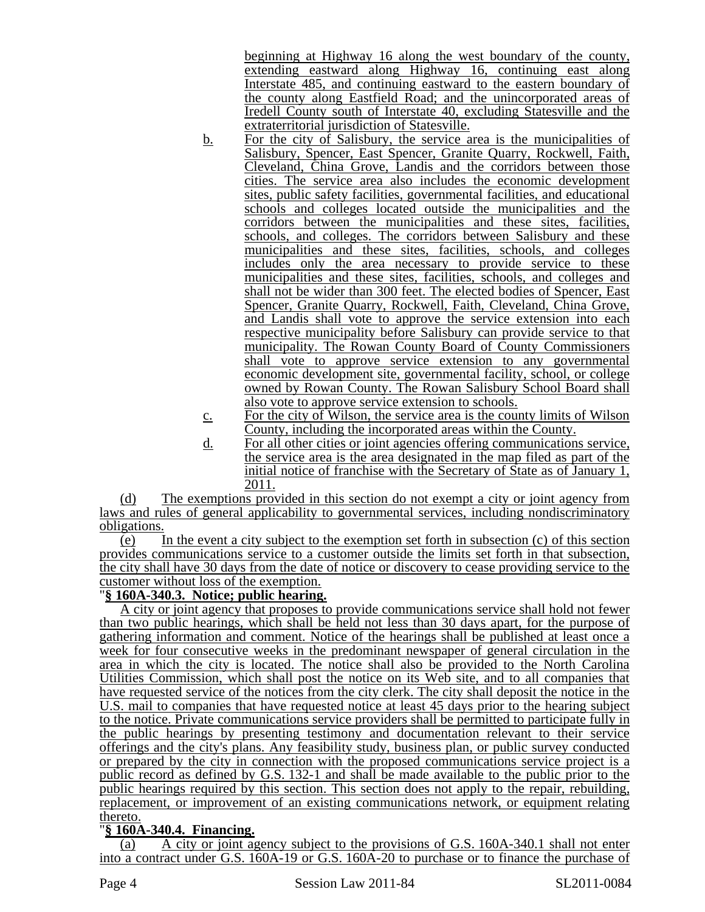beginning at Highway 16 along the west boundary of the county, extending eastward along Highway 16, continuing east along Interstate 485, and continuing eastward to the eastern boundary of the county along Eastfield Road; and the unincorporated areas of Iredell County south of Interstate 40, excluding Statesville and the extraterritorial jurisdiction of Statesville.

- b. For the city of Salisbury, the service area is the municipalities of Salisbury, Spencer, East Spencer, Granite Quarry, Rockwell, Faith, Cleveland, China Grove, Landis and the corridors between those cities. The service area also includes the economic development sites, public safety facilities, governmental facilities, and educational schools and colleges located outside the municipalities and the corridors between the municipalities and these sites, facilities, schools, and colleges. The corridors between Salisbury and these municipalities and these sites, facilities, schools, and colleges includes only the area necessary to provide service to these municipalities and these sites, facilities, schools, and colleges and shall not be wider than 300 feet. The elected bodies of Spencer, East Spencer, Granite Quarry, Rockwell, Faith, Cleveland, China Grove, and Landis shall vote to approve the service extension into each respective municipality before Salisbury can provide service to that municipality. The Rowan County Board of County Commissioners shall vote to approve service extension to any governmental economic development site, governmental facility, school, or college owned by Rowan County. The Rowan Salisbury School Board shall also vote to approve service extension to schools.
- c. For the city of Wilson, the service area is the county limits of Wilson County, including the incorporated areas within the County.
- d. For all other cities or joint agencies offering communications service, the service area is the area designated in the map filed as part of the initial notice of franchise with the Secretary of State as of January 1, 2011.

(d) The exemptions provided in this section do not exempt a city or joint agency from laws and rules of general applicability to governmental services, including nondiscriminatory obligations.

 $\overline{e}$  In the event a city subject to the exemption set forth in subsection  $\overline{e}$  of this section provides communications service to a customer outside the limits set forth in that subsection, the city shall have 30 days from the date of notice or discovery to cease providing service to the customer without loss of the exemption.

## "**§ 160A-340.3. Notice; public hearing.**

A city or joint agency that proposes to provide communications service shall hold not fewer than two public hearings, which shall be held not less than 30 days apart, for the purpose of gathering information and comment. Notice of the hearings shall be published at least once a week for four consecutive weeks in the predominant newspaper of general circulation in the area in which the city is located. The notice shall also be provided to the North Carolina Utilities Commission, which shall post the notice on its Web site, and to all companies that have requested service of the notices from the city clerk. The city shall deposit the notice in the U.S. mail to companies that have requested notice at least 45 days prior to the hearing subject to the notice. Private communications service providers shall be permitted to participate fully in the public hearings by presenting testimony and documentation relevant to their service offerings and the city's plans. Any feasibility study, business plan, or public survey conducted or prepared by the city in connection with the proposed communications service project is a public record as defined by G.S. 132-1 and shall be made available to the public prior to the public hearings required by this section. This section does not apply to the repair, rebuilding, replacement, or improvement of an existing communications network, or equipment relating thereto.

# "**§ 160A-340.4. Financing.**

(a) A city or joint agency subject to the provisions of G.S. 160A-340.1 shall not enter into a contract under G.S. 160A-19 or G.S. 160A-20 to purchase or to finance the purchase of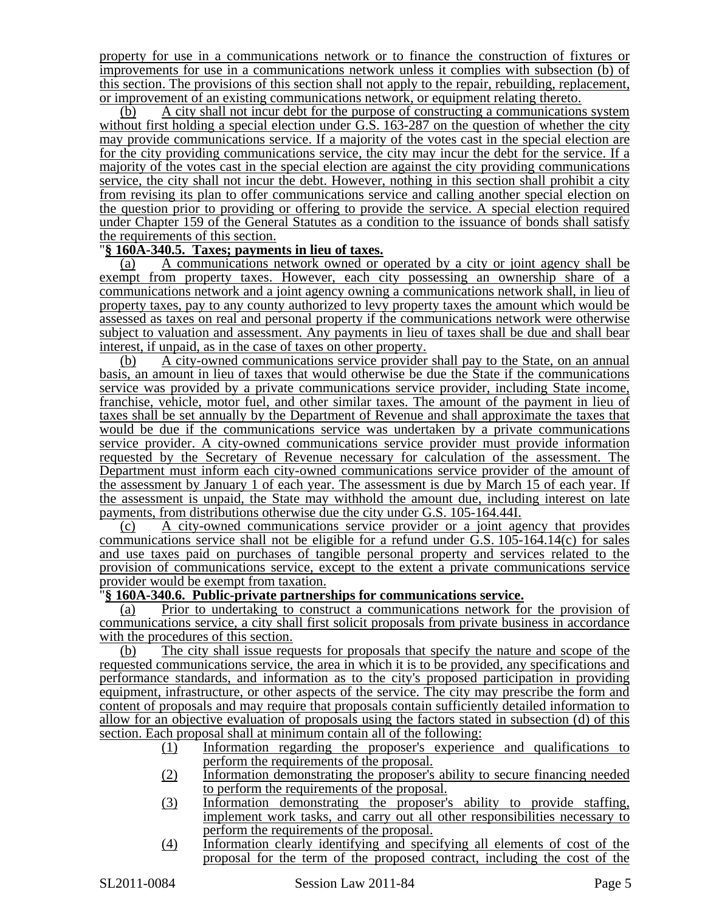property for use in a communications network or to finance the construction of fixtures or improvements for use in a communications network unless it complies with subsection (b) of this section. The provisions of this section shall not apply to the repair, rebuilding, replacement, or improvement of an existing communications network, or equipment relating thereto.

(b) A city shall not incur debt for the purpose of constructing a communications system without first holding a special election under G.S. 163-287 on the question of whether the city may provide communications service. If a majority of the votes cast in the special election are for the city providing communications service, the city may incur the debt for the service. If a majority of the votes cast in the special election are against the city providing communications service, the city shall not incur the debt. However, nothing in this section shall prohibit a city from revising its plan to offer communications service and calling another special election on the question prior to providing or offering to provide the service. A special election required under Chapter 159 of the General Statutes as a condition to the issuance of bonds shall satisfy the requirements of this section.

### "**§ 160A-340.5. Taxes; payments in lieu of taxes.**

(a) A communications network owned or operated by a city or joint agency shall be exempt from property taxes. However, each city possessing an ownership share of a communications network and a joint agency owning a communications network shall, in lieu of property taxes, pay to any county authorized to levy property taxes the amount which would be assessed as taxes on real and personal property if the communications network were otherwise subject to valuation and assessment. Any payments in lieu of taxes shall be due and shall bear interest, if unpaid, as in the case of taxes on other property.

(b) A city-owned communications service provider shall pay to the State, on an annual basis, an amount in lieu of taxes that would otherwise be due the State if the communications service was provided by a private communications service provider, including State income, franchise, vehicle, motor fuel, and other similar taxes. The amount of the payment in lieu of taxes shall be set annually by the Department of Revenue and shall approximate the taxes that would be due if the communications service was undertaken by a private communications service provider. A city-owned communications service provider must provide information requested by the Secretary of Revenue necessary for calculation of the assessment. The Department must inform each city-owned communications service provider of the amount of the assessment by January 1 of each year. The assessment is due by March 15 of each year. If the assessment is unpaid, the State may withhold the amount due, including interest on late payments, from distributions otherwise due the city under G.S. 105-164.44I.

(c) A city-owned communications service provider or a joint agency that provides communications service shall not be eligible for a refund under  $\ddot{G}$ .S.  $10\dot{5}$ -164.14(c) for sales and use taxes paid on purchases of tangible personal property and services related to the provision of communications service, except to the extent a private communications service provider would be exempt from taxation.

### "**§ 160A-340.6. Public-private partnerships for communications service.**

(a) Prior to undertaking to construct a communications network for the provision of communications service, a city shall first solicit proposals from private business in accordance with the procedures of this section.

(b) The city shall issue requests for proposals that specify the nature and scope of the requested communications service, the area in which it is to be provided, any specifications and performance standards, and information as to the city's proposed participation in providing equipment, infrastructure, or other aspects of the service. The city may prescribe the form and content of proposals and may require that proposals contain sufficiently detailed information to allow for an objective evaluation of proposals using the factors stated in subsection (d) of this section. Each proposal shall at minimum contain all of the following:

- (1) Information regarding the proposer's experience and qualifications to perform the requirements of the proposal.
- (2) Information demonstrating the proposer's ability to secure financing needed to perform the requirements of the proposal.
- (3) Information demonstrating the proposer's ability to provide staffing, implement work tasks, and carry out all other responsibilities necessary to perform the requirements of the proposal.
- (4) Information clearly identifying and specifying all elements of cost of the proposal for the term of the proposed contract, including the cost of the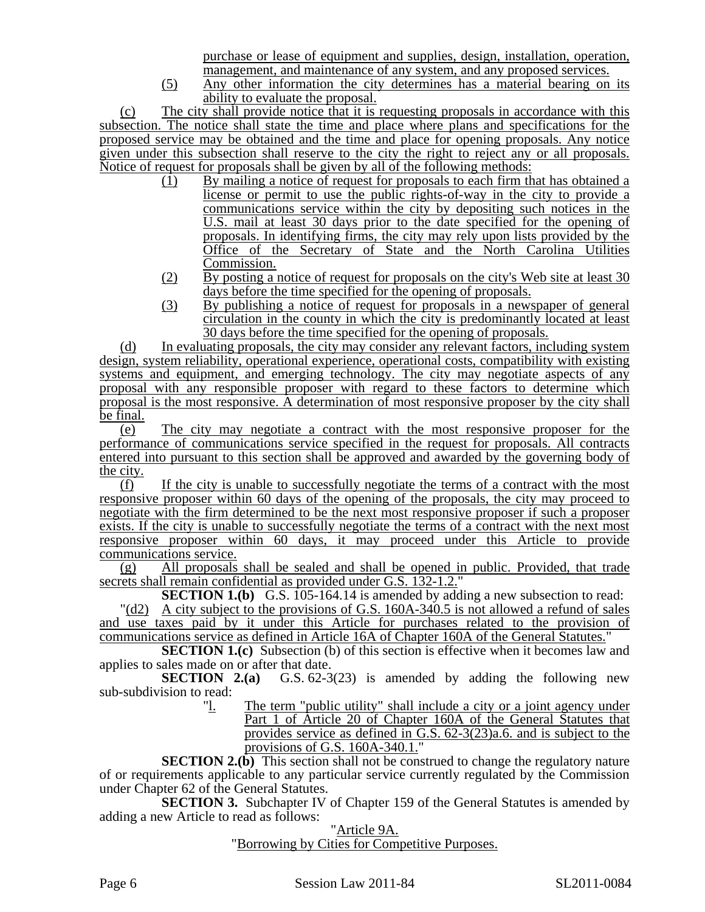purchase or lease of equipment and supplies, design, installation, operation, management, and maintenance of any system, and any proposed services.

(5) Any other information the city determines has a material bearing on its ability to evaluate the proposal.

(c) The city shall provide notice that it is requesting proposals in accordance with this subsection. The notice shall state the time and place where plans and specifications for the proposed service may be obtained and the time and place for opening proposals. Any notice given under this subsection shall reserve to the city the right to reject any or all proposals. Notice of request for proposals shall be given by all of the following methods:

- (1) By mailing a notice of request for proposals to each firm that has obtained a license or permit to use the public rights-of-way in the city to provide a communications service within the city by depositing such notices in the U.S. mail at least 30 days prior to the date specified for the opening of proposals. In identifying firms, the city may rely upon lists provided by the Office of the Secretary of State and the North Carolina Utilities Commission.
- (2) By posting a notice of request for proposals on the city's Web site at least 30 days before the time specified for the opening of proposals.
- (3) By publishing a notice of request for proposals in a newspaper of general circulation in the county in which the city is predominantly located at least 30 days before the time specified for the opening of proposals.

(d) In evaluating proposals, the city may consider any relevant factors, including system design, system reliability, operational experience, operational costs, compatibility with existing systems and equipment, and emerging technology. The city may negotiate aspects of any proposal with any responsible proposer with regard to these factors to determine which proposal is the most responsive. A determination of most responsive proposer by the city shall be final.

(e) The city may negotiate a contract with the most responsive proposer for the performance of communications service specified in the request for proposals. All contracts entered into pursuant to this section shall be approved and awarded by the governing body of the city.

(f) If the city is unable to successfully negotiate the terms of a contract with the most responsive proposer within 60 days of the opening of the proposals, the city may proceed to negotiate with the firm determined to be the next most responsive proposer if such a proposer exists. If the city is unable to successfully negotiate the terms of a contract with the next most responsive proposer within 60 days, it may proceed under this Article to provide communications service.

(g) All proposals shall be sealed and shall be opened in public. Provided, that trade secrets shall remain confidential as provided under G.S. 132-1.2."

**SECTION 1.(b)** G.S. 105-164.14 is amended by adding a new subsection to read:

"(d2) A city subject to the provisions of G.S. 160A-340.5 is not allowed a refund of sales and use taxes paid by it under this Article for purchases related to the provision of communications service as defined in Article 16A of Chapter 160A of the General Statutes."

**SECTION 1.(c)** Subsection (b) of this section is effective when it becomes law and applies to sales made on or after that date.

**SECTION 2.(a)** G.S. 62-3(23) is amended by adding the following new sub-subdivision to read:<br>"l.

The term "public utility" shall include a city or a joint agency under Part 1 of Article 20 of Chapter 160A of the General Statutes that provides service as defined in G.S. 62-3(23)a.6. and is subject to the provisions of G.S. 160A-340.1."

**SECTION 2.(b)** This section shall not be construed to change the regulatory nature of or requirements applicable to any particular service currently regulated by the Commission under Chapter 62 of the General Statutes.

**SECTION 3.** Subchapter IV of Chapter 159 of the General Statutes is amended by adding a new Article to read as follows:

> "Article 9A. "Borrowing by Cities for Competitive Purposes.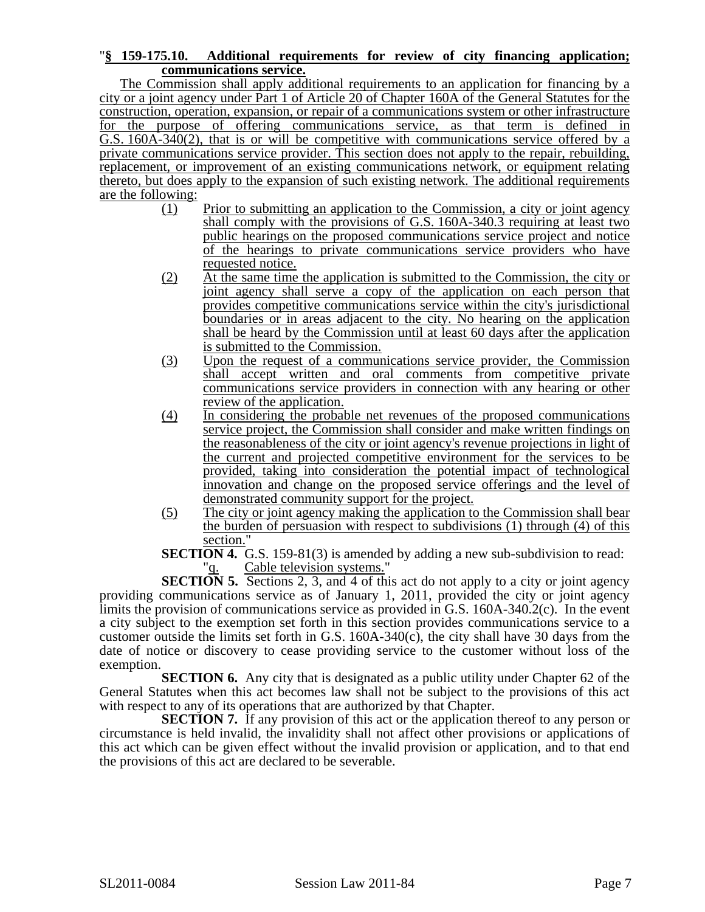### "**§ 159-175.10. Additional requirements for review of city financing application; communications service.**

The Commission shall apply additional requirements to an application for financing by a city or a joint agency under Part 1 of Article 20 of Chapter 160A of the General Statutes for the construction, operation, expansion, or repair of a communications system or other infrastructure for the purpose of offering communications service, as that term is defined in G.S. 160A-340(2), that is or will be competitive with communications service offered by a private communications service provider. This section does not apply to the repair, rebuilding, replacement, or improvement of an existing communications network, or equipment relating thereto, but does apply to the expansion of such existing network. The additional requirements are the following:<br> $(1)$ 

- Prior to submitting an application to the Commission, a city or joint agency shall comply with the provisions of G.S. 160A-340.3 requiring at least two public hearings on the proposed communications service project and notice of the hearings to private communications service providers who have requested notice.
- (2) At the same time the application is submitted to the Commission, the city or joint agency shall serve a copy of the application on each person that provides competitive communications service within the city's jurisdictional boundaries or in areas adjacent to the city. No hearing on the application shall be heard by the Commission until at least 60 days after the application is submitted to the Commission.
- (3) Upon the request of a communications service provider, the Commission shall accept written and oral comments from competitive private communications service providers in connection with any hearing or other review of the application.
- (4) In considering the probable net revenues of the proposed communications service project, the Commission shall consider and make written findings on the reasonableness of the city or joint agency's revenue projections in light of the current and projected competitive environment for the services to be provided, taking into consideration the potential impact of technological innovation and change on the proposed service offerings and the level of demonstrated community support for the project.
- (5) The city or joint agency making the application to the Commission shall bear the burden of persuasion with respect to subdivisions (1) through (4) of this section."
- **SECTION 4.** G.S. 159-81(3) is amended by adding a new sub-subdivision to read: Cable television systems."

**SECTION 5.** Sections 2, 3, and 4 of this act do not apply to a city or joint agency providing communications service as of January 1, 2011, provided the city or joint agency limits the provision of communications service as provided in G.S. 160A-340.2(c). In the event a city subject to the exemption set forth in this section provides communications service to a customer outside the limits set forth in G.S. 160A-340(c), the city shall have 30 days from the date of notice or discovery to cease providing service to the customer without loss of the exemption.

**SECTION 6.** Any city that is designated as a public utility under Chapter 62 of the General Statutes when this act becomes law shall not be subject to the provisions of this act with respect to any of its operations that are authorized by that Chapter.

**SECTION 7.** If any provision of this act or the application thereof to any person or circumstance is held invalid, the invalidity shall not affect other provisions or applications of this act which can be given effect without the invalid provision or application, and to that end the provisions of this act are declared to be severable.